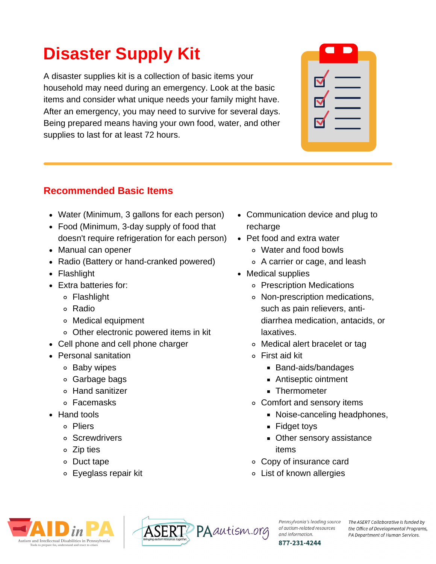# **Disaster Supply Kit**

A disaster supplies kit is a collection of basic items your household may need during an emergency. Look at the basic items and consider what unique needs your family might have. After an emergency, you may need to survive for several days. Being prepared means having your own food, water, and other supplies to last for at least 72 hours.

| <b>Recommended Basic Items</b> |  |  |
|--------------------------------|--|--|
|                                |  |  |

- Water (Minimum, 3 gallons for each person)
- Food (Minimum, 3-day supply of food that doesn't require refrigeration for each person)
- Manual can opener
- Radio (Battery or hand-cranked powered)
- Flashlight
- Extra batteries for:
	- Flashlight
	- Radio
	- Medical equipment
	- Other electronic powered items in kit
- Cell phone and cell phone charger
- Personal sanitation
	- **b** Baby wipes
	- Garbage bags
	- Hand sanitizer
	- Facemasks
- Hand tools
	- Pliers
	- Screwdrivers
	- Zip ties
	- Duct tape
	- Eyeglass repair kit
- Communication device and plug to recharge
- Pet food and extra water
	- Water and food bowls
	- A carrier or cage, and leash
- Medical supplies
	- Prescription Medications
	- Non-prescription medications, such as pain relievers, antidiarrhea medication, antacids, or laxatives.
	- Medical alert bracelet or tag
	- First aid kit
		- Band-aids/bandages
		- **Antiseptic ointment**
		- **Thermometer**
	- Comfort and sensory items
		- **Noise-canceling headphones,**
		- **Fidget toys**
		- **Other sensory assistance** items
	- Copy of insurance card
	- List of known allergies





Pennsylvania's leading source of autism-related resources and information. 877-231-4244

The ASERT Collaborative is funded by the Office of Developmental Programs, PA Department of Human Services.